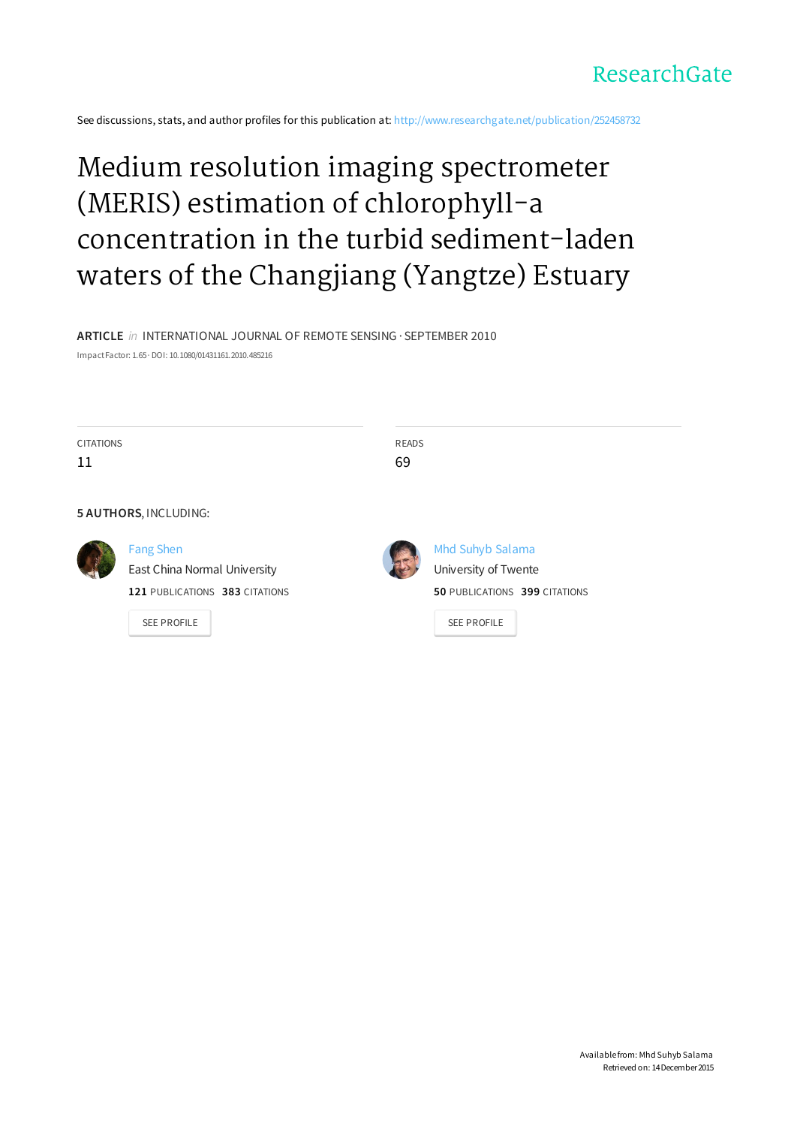

See discussions, stats, and author profiles for this publication at: http://www.researchgate.net/publication/252458732

# Medium resolution imaging spectrometer (MERIS) estimation of chlorophyll-a concentration in the turbid sediment-laden waters of the Changjiang (Yangtze) Estuary

**ARTICLE** in INTERNATIONAL JOURNAL OF REMOTE SENSING · SEPTEMBER 2010 ImpactFactor: 1.65· DOI: 10.1080/01431161.2010.485216

| <b>CITATIONS</b> |                                | <b>READS</b> |                               |
|------------------|--------------------------------|--------------|-------------------------------|
| 11               |                                | 69           |                               |
|                  |                                |              |                               |
|                  | 5 AUTHORS, INCLUDING:          |              |                               |
|                  | <b>Fang Shen</b>               |              | Mhd Suhyb Salama              |
|                  | East China Normal University   |              | University of Twente          |
|                  | 121 PUBLICATIONS 383 CITATIONS |              | 50 PUBLICATIONS 399 CITATIONS |
|                  | <b>SEE PROFILE</b>             |              | <b>SEE PROFILE</b>            |
|                  |                                |              |                               |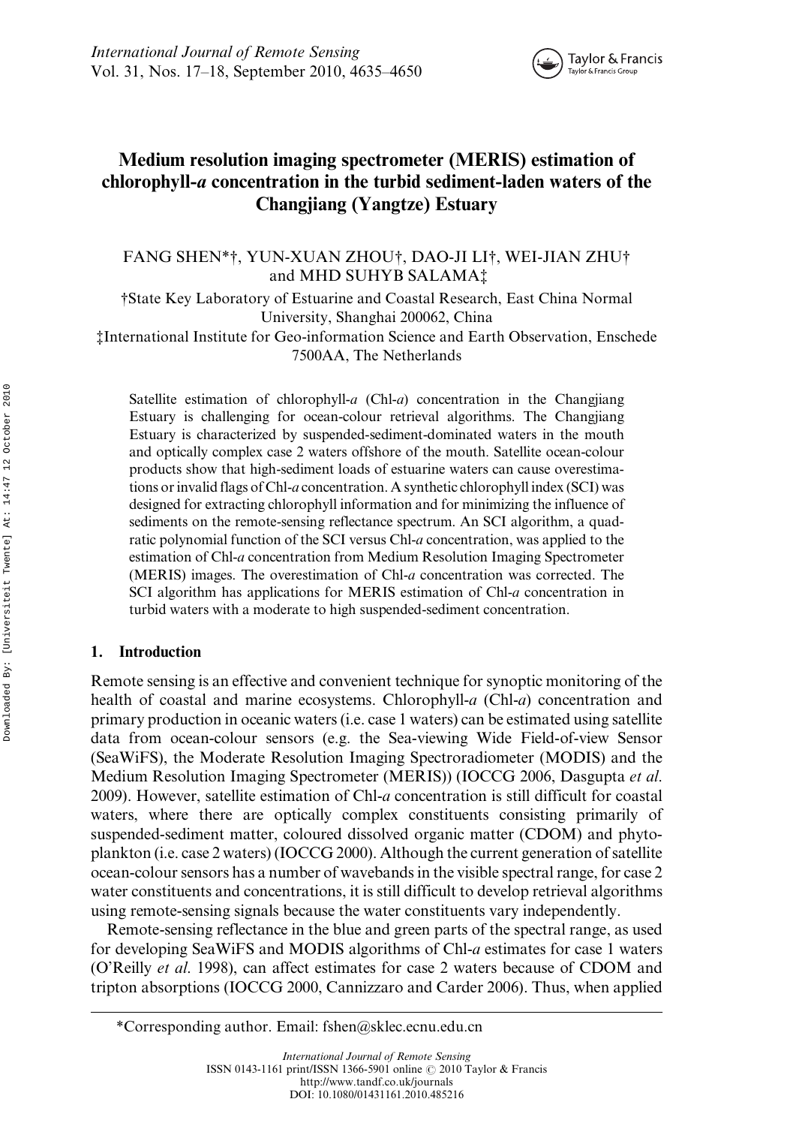

# Medium resolution imaging spectrometer (MERIS) estimation of chlorophyll-a concentration in the turbid sediment-laden waters of the Changjiang (Yangtze) Estuary

# FANG SHEN\*†, YUN-XUAN ZHOU†, DAO-JI LI†, WEI-JIAN ZHU† and MHD SUHYB SALAMA‡

†State Key Laboratory of Estuarine and Coastal Research, East China Normal University, Shanghai 200062, China

‡International Institute for Geo-information Science and Earth Observation, Enschede 7500AA, The Netherlands

Satellite estimation of chlorophyll- $a$  (Chl- $a$ ) concentration in the Changjiang Estuary is challenging for ocean-colour retrieval algorithms. The Changjiang Estuary is characterized by suspended-sediment-dominated waters in the mouth and optically complex case 2 waters offshore of the mouth. Satellite ocean-colour products show that high-sediment loads of estuarine waters can cause overestimations or invalid flags of Chl-a concentration. A synthetic chlorophyll index (SCI) was designed for extracting chlorophyll information and for minimizing the influence of sediments on the remote-sensing reflectance spectrum. An SCI algorithm, a quadratic polynomial function of the SCI versus Chl-a concentration, was applied to the estimation of Chl-a concentration from Medium Resolution Imaging Spectrometer (MERIS) images. The overestimation of Chl-a concentration was corrected. The SCI algorithm has applications for MERIS estimation of Chl-a concentration in turbid waters with a moderate to high suspended-sediment concentration.

# 1. Introduction

Remote sensing is an effective and convenient technique for synoptic monitoring of the health of coastal and marine ecosystems. Chlorophyll-a (Chl-a) concentration and primary production in oceanic waters (i.e. case 1 waters) can be estimated using satellite data from ocean-colour sensors (e.g. the Sea-viewing Wide Field-of-view Sensor (SeaWiFS), the Moderate Resolution Imaging Spectroradiometer (MODIS) and the Medium Resolution Imaging Spectrometer (MERIS)) (IOCCG 2006, Dasgupta et al. 2009). However, satellite estimation of Chl-a concentration is still difficult for coastal waters, where there are optically complex constituents consisting primarily of suspended-sediment matter, coloured dissolved organic matter (CDOM) and phytoplankton (i.e. case 2 waters) (IOCCG 2000). Although the current generation of satellite ocean-colour sensors has a number of wavebands in the visible spectral range, for case 2 water constituents and concentrations, it is still difficult to develop retrieval algorithms using remote-sensing signals because the water constituents vary independently.

Remote-sensing reflectance in the blue and green parts of the spectral range, as used for developing SeaWiFS and MODIS algorithms of Chl-a estimates for case 1 waters (O'Reilly et al. 1998), can affect estimates for case 2 waters because of CDOM and tripton absorptions (IOCCG 2000, Cannizzaro and Carder 2006). Thus, when applied

<sup>\*</sup>Corresponding author. Email: fshen@sklec.ecnu.edu.cn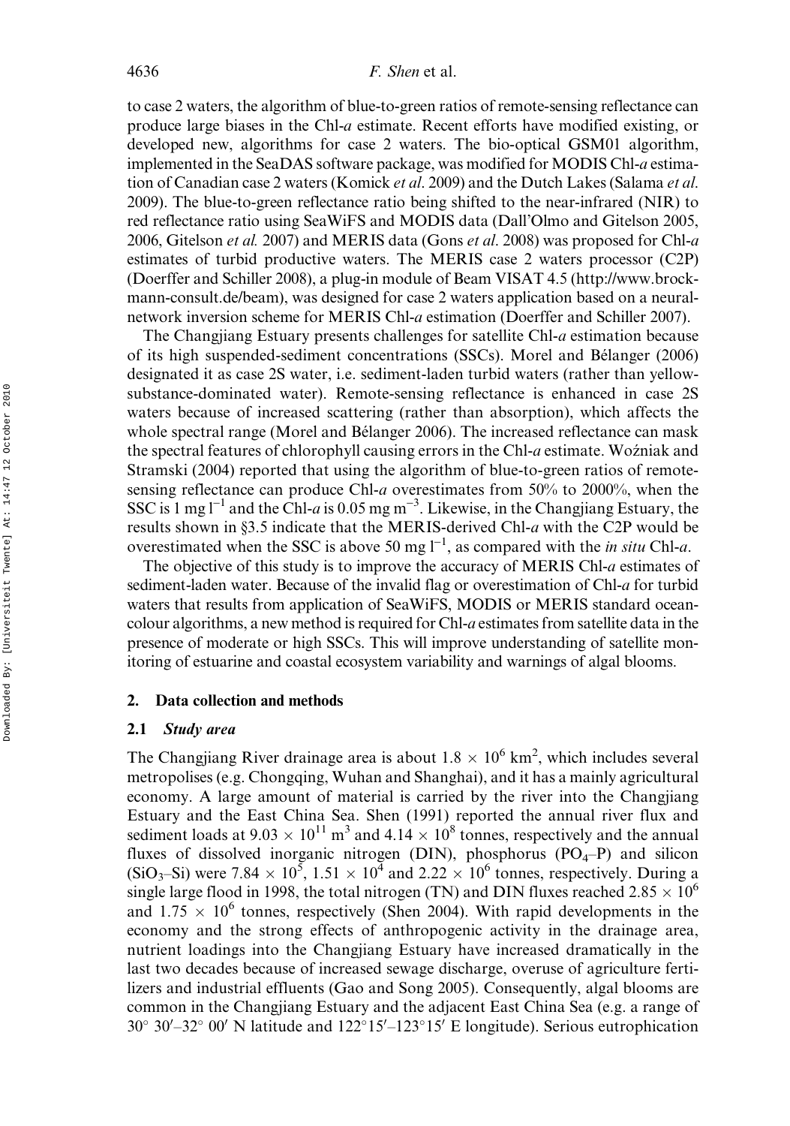to case 2 waters, the algorithm of blue-to-green ratios of remote-sensing reflectance can produce large biases in the Chl-a estimate. Recent efforts have modified existing, or developed new, algorithms for case 2 waters. The bio-optical GSM01 algorithm, implemented in the SeaDAS software package, was modified for MODIS Chl-a estimation of Canadian case 2 waters (Komick et al. 2009) and the Dutch Lakes (Salama et al. 2009). The blue-to-green reflectance ratio being shifted to the near-infrared (NIR) to red reflectance ratio using SeaWiFS and MODIS data (Dall'Olmo and Gitelson 2005, 2006, Gitelson et al. 2007) and MERIS data (Gons et al. 2008) was proposed for Chl-a estimates of turbid productive waters. The MERIS case 2 waters processor (C2P) (Doerffer and Schiller 2008), a plug-in module of Beam VISAT 4.5 (http://www.brockmann-consult.de/beam), was designed for case 2 waters application based on a neuralnetwork inversion scheme for MERIS Chl-a estimation (Doerffer and Schiller 2007).

The Changjiang Estuary presents challenges for satellite Chl-a estimation because of its high suspended-sediment concentrations (SSCs). Morel and Bélanger (2006) designated it as case 2S water, i.e. sediment-laden turbid waters (rather than yellowsubstance-dominated water). Remote-sensing reflectance is enhanced in case 2S waters because of increased scattering (rather than absorption), which affects the whole spectral range (Morel and Bélanger 2006). The increased reflectance can mask the spectral features of chlorophyll causing errors in the Chl-a estimate. Woźniak and Stramski (2004) reported that using the algorithm of blue-to-green ratios of remotesensing reflectance can produce Chl-a overestimates from 50% to 2000%, when the SSC is 1 mg  $l^{-1}$  and the Chl-a is 0.05 mg m<sup>-3</sup>. Likewise, in the Changjiang Estuary, the results shown in §3.5 indicate that the MERIS-derived Chl-a with the C2P would be overestimated when the SSC is above 50 mg  $l^{-1}$ , as compared with the *in situ* Chl-*a*.

The objective of this study is to improve the accuracy of MERIS Chl-a estimates of sediment-laden water. Because of the invalid flag or overestimation of Chl-a for turbid waters that results from application of SeaWiFS, MODIS or MERIS standard oceancolour algorithms, a new method is required for Chl-a estimates from satellite data in the presence of moderate or high SSCs. This will improve understanding of satellite monitoring of estuarine and coastal ecosystem variability and warnings of algal blooms.

#### 2. Data collection and methods

# 2.1 Study area

The Changjiang River drainage area is about  $1.8 \times 10^6$  km<sup>2</sup>, which includes several metropolises (e.g. Chongqing, Wuhan and Shanghai), and it has a mainly agricultural economy. A large amount of material is carried by the river into the Changjiang Estuary and the East China Sea. Shen (1991) reported the annual river flux and sediment loads at  $9.03 \times 10^{11}$  m<sup>3</sup> and  $4.14 \times 10^8$  tonnes, respectively and the annual fluxes of dissolved inorganic nitrogen (DIN), phosphorus  $(PO<sub>4</sub>-P)$  and silicon (SiO<sub>3</sub>-Si) were 7.84  $\times$  10<sup>5</sup>, 1.51  $\times$  10<sup>4</sup> and 2.22  $\times$  10<sup>6</sup> tonnes, respectively. During a single large flood in 1998, the total nitrogen (TN) and DIN fluxes reached 2.85  $\times$  10<sup>6</sup> and  $1.75 \times 10^6$  tonnes, respectively (Shen 2004). With rapid developments in the economy and the strong effects of anthropogenic activity in the drainage area, nutrient loadings into the Changjiang Estuary have increased dramatically in the last two decades because of increased sewage discharge, overuse of agriculture fertilizers and industrial effluents (Gao and Song 2005). Consequently, algal blooms are common in the Changjiang Estuary and the adjacent East China Sea (e.g. a range of  $30^{\circ}$   $30'$  -32°  $00'$  N latitude and  $122^{\circ}15'$  -123°15' E longitude). Serious eutrophication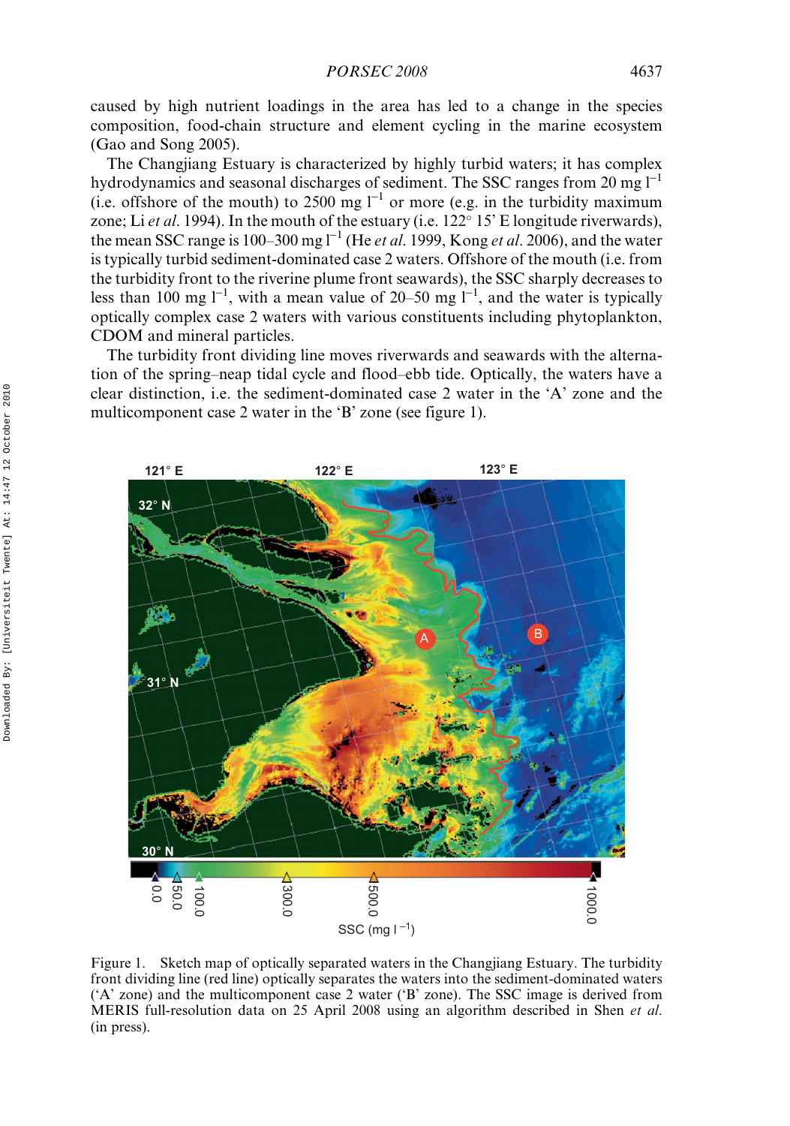caused by high nutrient loadings in the area has led to a change in the species composition, food-chain structure and element cycling in the marine ecosystem (Gao and Song 2005).

The Changjiang Estuary is characterized by highly turbid waters; it has complex hydrodynamics and seasonal discharges of sediment. The SSC ranges from 20 mg  $I^{-1}$ (i.e. offshore of the mouth) to 2500 mg  $l^{-1}$  or more (e.g. in the turbidity maximum zone; Li et al. 1994). In the mouth of the estuary (i.e.  $122^{\circ}$  15' E longitude riverwards), the mean SSC range is 100–300 mg  $l^{-1}$  (He *et al.* 1999, Kong *et al.* 2006), and the water is typically turbid sediment-dominated case 2 waters. Offshore of the mouth (i.e. from the turbidity front to the riverine plume front seawards), the SSC sharply decreases to less than 100 mg  $l^{-1}$ , with a mean value of 20–50 mg  $l^{-1}$ , and the water is typically optically complex case 2 waters with various constituents including phytoplankton, CDOM and mineral particles.

The turbidity front dividing line moves riverwards and seawards with the alternation of the spring–neap tidal cycle and flood–ebb tide. Optically, the waters have a clear distinction, i.e. the sediment-dominated case 2 water in the 'A' zone and the multicomponent case 2 water in the 'B' zone (see figure 1).



Figure 1. Sketch map of optically separated waters in the Changjiang Estuary. The turbidity front dividing line (red line) optically separates the waters into the sediment-dominated waters ('A' zone) and the multicomponent case 2 water ('B' zone). The SSC image is derived from MERIS full-resolution data on 25 April 2008 using an algorithm described in Shen et al. (in press).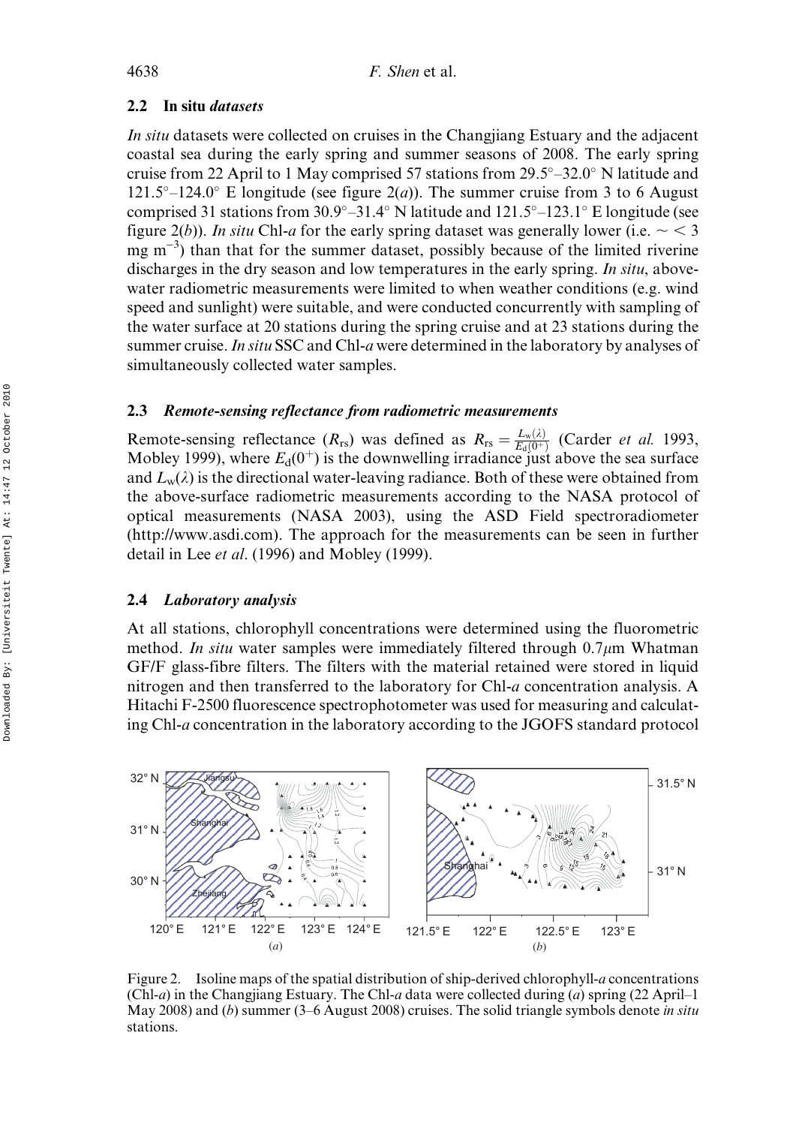# 2.2 In situ datasets

In situ datasets were collected on cruises in the Changjiang Estuary and the adjacent coastal sea during the early spring and summer seasons of 2008. The early spring cruise from 22 April to 1 May comprised 57 stations from  $29.5^{\circ}$  -32.0° N latitude and  $121.5^{\circ}$ –124.0° E longitude (see figure  $2(a)$ ). The summer cruise from 3 to 6 August comprised 31 stations from  $30.9^{\circ} - 31.4^{\circ}$  N latitude and  $121.5^{\circ} - 123.1^{\circ}$  E longitude (see figure 2(b)). In situ Chl-a for the early spring dataset was generally lower (i.e.  $\sim$  < 3 mg m<sup>-3</sup>) than that for the summer dataset, possibly because of the limited riverine discharges in the dry season and low temperatures in the early spring. In situ, abovewater radiometric measurements were limited to when weather conditions (e.g. wind speed and sunlight) were suitable, and were conducted concurrently with sampling of the water surface at 20 stations during the spring cruise and at 23 stations during the summer cruise. In situ SSC and Chl-a were determined in the laboratory by analyses of simultaneously collected water samples.

# 2.3 Remote-sensing reflectance from radiometric measurements

Remote-sensing reflectance  $(R_{rs})$  was defined as  $R_{rs} = \frac{L_w(\lambda)}{E_d(0^+)}$  (Carder *et al.* 1993, Mobley 1999), where  $E_d(0^+)$  is the downwelling irradiance just above the sea surface and  $L_w(\lambda)$  is the directional water-leaving radiance. Both of these were obtained from the above-surface radiometric measurements according to the NASA protocol of optical measurements (NASA 2003), using the ASD Field spectroradiometer (http://www.asdi.com). The approach for the measurements can be seen in further detail in Lee et al. (1996) and Mobley (1999).

# 2.4 Laboratory analysis

At all stations, chlorophyll concentrations were determined using the fluorometric method. In situ water samples were immediately filtered through 0.7 $\mu$ m Whatman GF/F glass-fibre filters. The filters with the material retained were stored in liquid nitrogen and then transferred to the laboratory for Chl-a concentration analysis. A Hitachi F-2500 fluorescence spectrophotometer was used for measuring and calculating Chl-a concentration in the laboratory according to the JGOFS standard protocol



Figure 2. Isoline maps of the spatial distribution of ship-derived chlorophyll-a concentrations (Chl-a) in the Changjiang Estuary. The Chl-a data were collected during (a) spring  $(22$  April–1 May 2008) and (b) summer (3–6 August 2008) cruises. The solid triangle symbols denote in situ stations.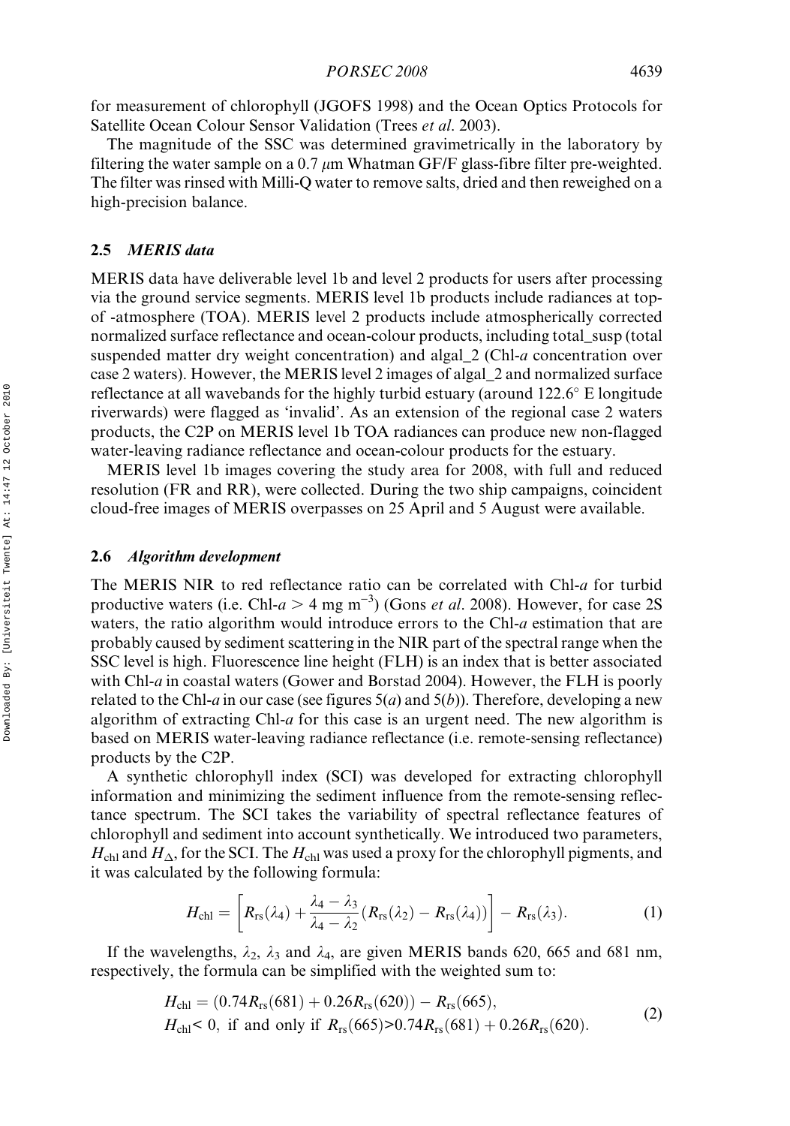for measurement of chlorophyll (JGOFS 1998) and the Ocean Optics Protocols for Satellite Ocean Colour Sensor Validation (Trees et al. 2003).

The magnitude of the SSC was determined gravimetrically in the laboratory by filtering the water sample on a 0.7  $\mu$ m Whatman GF/F glass-fibre filter pre-weighted. The filter was rinsed with Milli-Q water to remove salts, dried and then reweighed on a high-precision balance.

#### 2.5 MERIS data

MERIS data have deliverable level 1b and level 2 products for users after processing via the ground service segments. MERIS level 1b products include radiances at topof -atmosphere (TOA). MERIS level 2 products include atmospherically corrected normalized surface reflectance and ocean-colour products, including total susp (total suspended matter dry weight concentration) and algal\_2 (Chl-a concentration over case 2 waters). However, the MERIS level 2 images of algal\_2 and normalized surface reflectance at all wavebands for the highly turbid estuary (around 122.6° E longitude riverwards) were flagged as 'invalid'. As an extension of the regional case 2 waters products, the C2P on MERIS level 1b TOA radiances can produce new non-flagged water-leaving radiance reflectance and ocean-colour products for the estuary.

MERIS level 1b images covering the study area for 2008, with full and reduced resolution (FR and RR), were collected. During the two ship campaigns, coincident cloud-free images of MERIS overpasses on 25 April and 5 August were available.

# 2.6 Algorithm development

The MERIS NIR to red reflectance ratio can be correlated with Chl-a for turbid productive waters (i.e. Chl- $a > 4$  mg m<sup>-3</sup>) (Gons *et al.* 2008). However, for case 2S waters, the ratio algorithm would introduce errors to the Chl- $a$  estimation that are probably caused by sediment scattering in the NIR part of the spectral range when the SSC level is high. Fluorescence line height (FLH) is an index that is better associated with Chl-*a* in coastal waters (Gower and Borstad 2004). However, the FLH is poorly related to the Chl-a in our case (see figures  $5(a)$  and  $5(b)$ ). Therefore, developing a new algorithm of extracting Chl- $a$  for this case is an urgent need. The new algorithm is based on MERIS water-leaving radiance reflectance (i.e. remote-sensing reflectance) products by the C2P.

A synthetic chlorophyll index (SCI) was developed for extracting chlorophyll information and minimizing the sediment influence from the remote-sensing reflectance spectrum. The SCI takes the variability of spectral reflectance features of chlorophyll and sediment into account synthetically. We introduced two parameters,  $H_{\text{chl}}$  and  $H_{\Delta}$ , for the SCI. The  $H_{\text{chl}}$  was used a proxy for the chlorophyll pigments, and it was calculated by the following formula:

$$
H_{\rm chl} = \left[ R_{\rm rs}(\lambda_4) + \frac{\lambda_4 - \lambda_3}{\lambda_4 - \lambda_2} (R_{\rm rs}(\lambda_2) - R_{\rm rs}(\lambda_4)) \right] - R_{\rm rs}(\lambda_3). \tag{1}
$$

If the wavelengths,  $\lambda_2$ ,  $\lambda_3$  and  $\lambda_4$ , are given MERIS bands 620, 665 and 681 nm, respectively, the formula can be simplified with the weighted sum to:

$$
H_{\rm chl} = (0.74 R_{\rm rs}(681) + 0.26 R_{\rm rs}(620)) - R_{\rm rs}(665),
$$
  
\n
$$
H_{\rm chl} < 0, \text{ if and only if } R_{\rm rs}(665) > 0.74 R_{\rm rs}(681) + 0.26 R_{\rm rs}(620).
$$
 (2)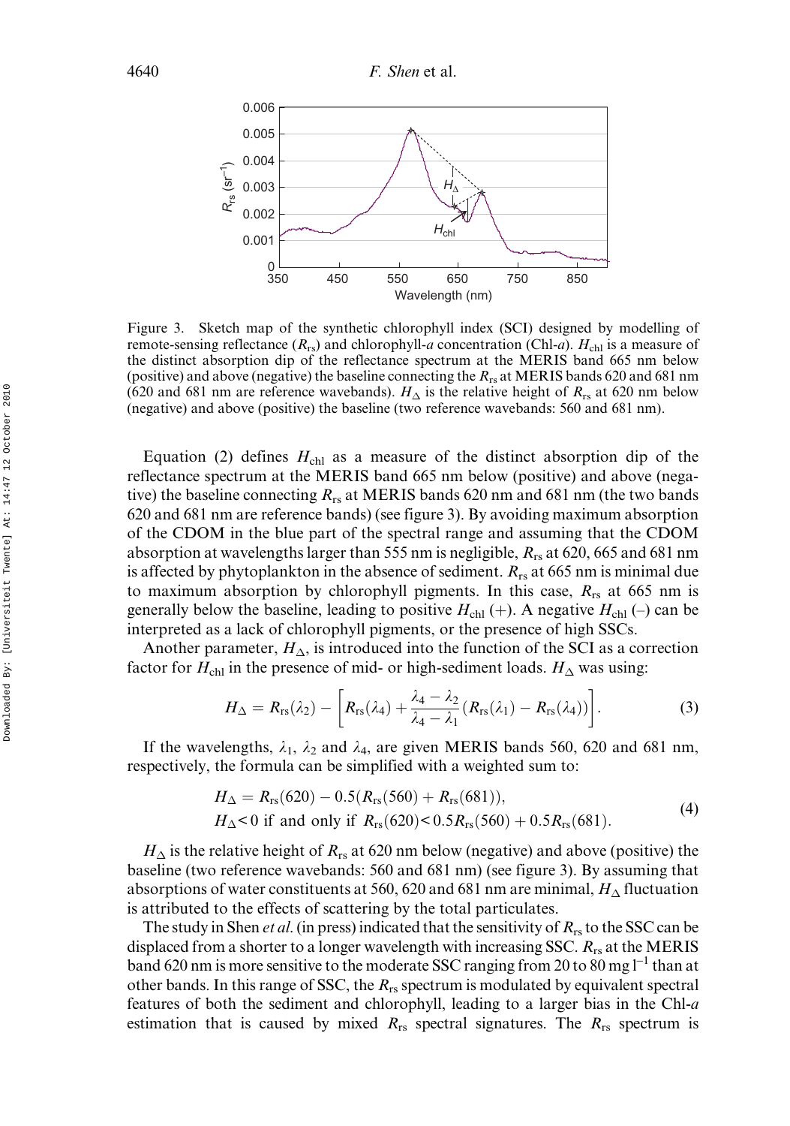

Figure 3. Sketch map of the synthetic chlorophyll index (SCI) designed by modelling of remote-sensing reflectance  $(R_{rs})$  and chlorophyll-a concentration (Chl-a).  $H_{\text{ch}}$  is a measure of the distinct absorption dip of the reflectance spectrum at the MERIS band 665 nm below (positive) and above (negative) the baseline connecting the  $R_{rs}$  at MERIS bands 620 and 681 nm (620 and 681 nm are reference wavebands).  $H_{\Delta}$  is the relative height of  $R_{rs}$  at 620 nm below (negative) and above (positive) the baseline (two reference wavebands: 560 and 681 nm).

Equation (2) defines  $H_{\text{ch1}}$  as a measure of the distinct absorption dip of the reflectance spectrum at the MERIS band 665 nm below (positive) and above (negative) the baseline connecting  $R_{rs}$  at MERIS bands 620 nm and 681 nm (the two bands 620 and 681 nm are reference bands) (see figure 3). By avoiding maximum absorption of the CDOM in the blue part of the spectral range and assuming that the CDOM absorption at wavelengths larger than 555 nm is negligible,  $R_{rs}$  at 620, 665 and 681 nm is affected by phytoplankton in the absence of sediment.  $R_{rs}$  at 665 nm is minimal due to maximum absorption by chlorophyll pigments. In this case,  $R_{rs}$  at 665 nm is generally below the baseline, leading to positive  $H_{\text{chl}}$  (+). A negative  $H_{\text{chl}}$  (-) can be interpreted as a lack of chlorophyll pigments, or the presence of high SSCs.

Another parameter,  $H_{\Delta}$ , is introduced into the function of the SCI as a correction factor for  $H_{\text{chl}}$  in the presence of mid- or high-sediment loads.  $H_{\Delta}$  was using:

$$
H_{\Delta} = R_{rs}(\lambda_2) - \left[ R_{rs}(\lambda_4) + \frac{\lambda_4 - \lambda_2}{\lambda_4 - \lambda_1} (R_{rs}(\lambda_1) - R_{rs}(\lambda_4)) \right].
$$
 (3)

If the wavelengths,  $\lambda_1$ ,  $\lambda_2$  and  $\lambda_4$ , are given MERIS bands 560, 620 and 681 nm, respectively, the formula can be simplified with a weighted sum to:

$$
H_{\Delta} = R_{rs}(620) - 0.5(R_{rs}(560) + R_{rs}(681)),
$$
  
\n
$$
H_{\Delta} < 0
$$
 if and only if  $R_{rs}(620) < 0.5R_{rs}(560) + 0.5R_{rs}(681).$  (4)

 $H_{\Delta}$  is the relative height of  $R_{rs}$  at 620 nm below (negative) and above (positive) the baseline (two reference wavebands: 560 and 681 nm) (see figure 3). By assuming that absorptions of water constituents at 560, 620 and 681 nm are minimal,  $H_\Delta$  fluctuation is attributed to the effects of scattering by the total particulates.

The study in Shen *et al.* (in press) indicated that the sensitivity of  $R_{rs}$  to the SSC can be displaced from a shorter to a longer wavelength with increasing SSC.  $R_{rs}$  at the MERIS band 620 nm is more sensitive to the moderate SSC ranging from 20 to 80 mg  $I^{-1}$  than at other bands. In this range of SSC, the  $R_{rs}$  spectrum is modulated by equivalent spectral features of both the sediment and chlorophyll, leading to a larger bias in the Chl-a estimation that is caused by mixed  $R_{rs}$  spectral signatures. The  $R_{rs}$  spectrum is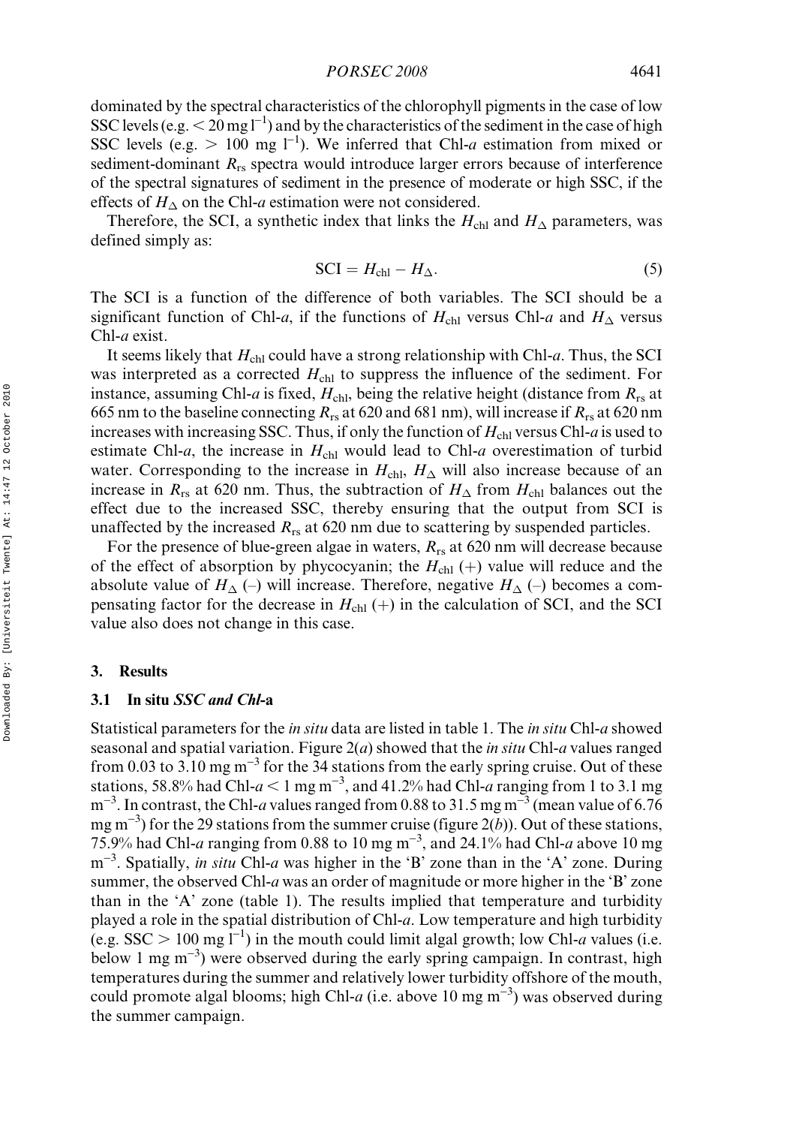dominated by the spectral characteristics of the chlorophyll pigments in the case of low SSC levels (e.g.  $\leq 20$  mg l<sup>-1</sup>) and by the characteristics of the sediment in the case of high SSC levels (e.g.  $> 100$  mg l<sup>-1</sup>). We inferred that Chl-a estimation from mixed or sediment-dominant  $R_{rs}$  spectra would introduce larger errors because of interference of the spectral signatures of sediment in the presence of moderate or high SSC, if the effects of  $H_{\Delta}$  on the Chl-a estimation were not considered.

Therefore, the SCI, a synthetic index that links the  $H_{\text{chl}}$  and  $H_{\Delta}$  parameters, was defined simply as:

$$
SCI = H_{\text{chl}} - H_{\Delta}.
$$
 (5)

The SCI is a function of the difference of both variables. The SCI should be a significant function of Chl-a, if the functions of  $H_{\text{chl}}$  versus Chl-a and  $H_{\Delta}$  versus Chl-a exist.

It seems likely that  $H_{ch}$  could have a strong relationship with Chl-a. Thus, the SCI was interpreted as a corrected  $H_{\text{chl}}$  to suppress the influence of the sediment. For instance, assuming Chl-a is fixed,  $H_{\text{chl}}$ , being the relative height (distance from  $R_{\text{rs}}$  at 665 nm to the baseline connecting  $R_{rs}$  at 620 and 681 nm), will increase if  $R_{rs}$  at 620 nm increases with increasing SSC. Thus, if only the function of  $H_{\text{ch}}$  versus Chl-a is used to estimate Chl-a, the increase in  $H_{\text{chl}}$  would lead to Chl-a overestimation of turbid water. Corresponding to the increase in  $H_{\text{chl}}$ ,  $H_{\Delta}$  will also increase because of an increase in  $R_{rs}$  at 620 nm. Thus, the subtraction of  $H_{\Delta}$  from  $H_{ch}$  balances out the effect due to the increased SSC, thereby ensuring that the output from SCI is unaffected by the increased  $R_{rs}$  at 620 nm due to scattering by suspended particles.

For the presence of blue-green algae in waters,  $R_{rs}$  at 620 nm will decrease because of the effect of absorption by phycocyanin; the  $H_{\text{chl}}$  (+) value will reduce and the absolute value of  $H_{\Delta}$  (-) will increase. Therefore, negative  $H_{\Delta}$  (-) becomes a compensating factor for the decrease in  $H<sub>chl</sub>(+)$  in the calculation of SCI, and the SCI value also does not change in this case.

#### 3. Results

# 3.1 In situ SSC and Chl-a

Statistical parameters for the in situ data are listed in table 1. The in situ Chl-a showed seasonal and spatial variation. Figure  $2(a)$  showed that the *in situ* Chl-*a* values ranged from 0.03 to 3.10 mg  $m^{-3}$  for the 34 stations from the early spring cruise. Out of these stations, 58.8% had Chl- $a < 1$  mg m<sup>-3</sup>, and 41.2% had Chl-a ranging from 1 to 3.1 mg  $m^{-3}$ . In contrast, the Chl-a values ranged from 0.88 to 31.5 mg m<sup>-3</sup> (mean value of 6.76) mg m<sup>-3</sup>) for the 29 stations from the summer cruise (figure 2(b)). Out of these stations, 75.9% had Chl-a ranging from 0.88 to 10 mg m<sup>-3</sup>, and 24.1% had Chl-a above 10 mg m<sup>-3</sup>. Spatially, *in situ* Chl-*a* was higher in the 'B' zone than in the 'A' zone. During summer, the observed Chl-a was an order of magnitude or more higher in the 'B' zone than in the 'A' zone (table 1). The results implied that temperature and turbidity played a role in the spatial distribution of Chl-a. Low temperature and high turbidity (e.g. SSC  $> 100$  mg  $\overline{1}^{-1}$ ) in the mouth could limit algal growth; low Chl-a values (i.e. below 1 mg m<sup>-3</sup>) were observed during the early spring campaign. In contrast, high temperatures during the summer and relatively lower turbidity offshore of the mouth, could promote algal blooms; high Chl-a (i.e. above 10 mg m<sup>-3</sup>) was observed during the summer campaign.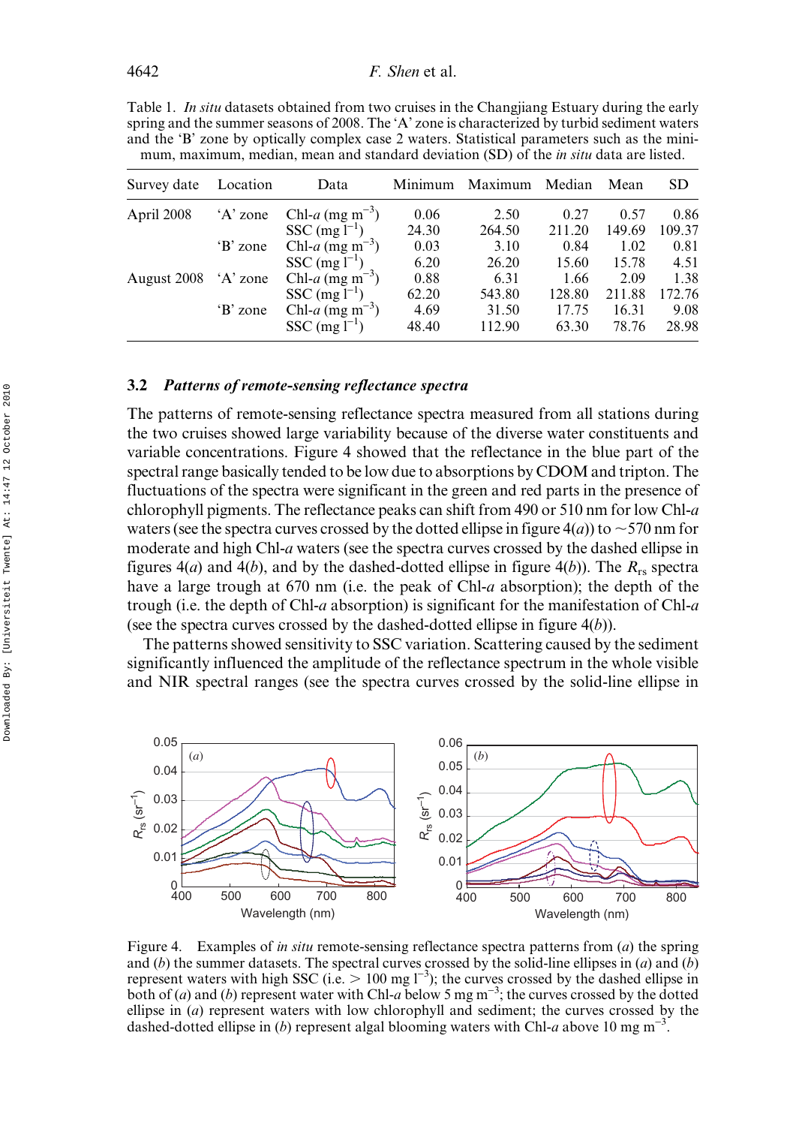Table 1. In situ datasets obtained from two cruises in the Changjiang Estuary during the early spring and the summer seasons of 2008. The 'A' zone is characterized by turbid sediment waters and the 'B' zone by optically complex case 2 waters. Statistical parameters such as the minimum, maximum, median, mean and standard deviation (SD) of the *in situ* data are listed.

| Survey date | Location | Data                           | Minimum | Maximum | Median | Mean   | <b>SD</b> |
|-------------|----------|--------------------------------|---------|---------|--------|--------|-----------|
| April 2008  | 'A' zone | Chl-a (mg m <sup>-3</sup> )    | 0.06    | 2.50    | 0.27   | 0.57   | 0.86      |
|             |          | SSC $(mg l^{-1})$              | 24.30   | 264.50  | 211.20 | 149.69 | 109.37    |
|             | 'B' zone | Chl- $a$ (mg m <sup>-3</sup> ) | 0.03    | 3.10    | 0.84   | 1.02   | 0.81      |
|             |          | SSC $(mg l^{-1})$              | 6.20    | 26.20   | 15.60  | 15.78  | 4.51      |
| August 2008 | 'A' zone | Chl-a (mg m <sup>-3</sup> )    | 0.88    | 6.31    | 1.66   | 2.09   | 1.38      |
|             |          | $SSC (mg l^{-1})$              | 62.20   | 543.80  | 128.80 | 211.88 | 172.76    |
|             | 'B' zone | Chl-a $(mg m^{-3})$            | 4.69    | 31.50   | 17.75  | 16.31  | 9.08      |
|             |          | $SSC$ (mg $l^{-1}$ )           | 48.40   | 112.90  | 63.30  | 78.76  | 28.98     |

# 3.2 Patterns of remote-sensing reflectance spectra

The patterns of remote-sensing reflectance spectra measured from all stations during the two cruises showed large variability because of the diverse water constituents and variable concentrations. Figure 4 showed that the reflectance in the blue part of the spectral range basically tended to be low due to absorptions by CDOM and tripton. The fluctuations of the spectra were significant in the green and red parts in the presence of chlorophyll pigments. The reflectance peaks can shift from 490 or 510 nm for low Chl-a waters (see the spectra curves crossed by the dotted ellipse in figure  $4(a)$ ) to  $\sim$  570 nm for moderate and high Chl-a waters (see the spectra curves crossed by the dashed ellipse in figures  $4(a)$  and  $4(b)$ , and by the dashed-dotted ellipse in figure  $4(b)$ ). The  $R_{rs}$  spectra have a large trough at 670 nm (i.e. the peak of Chl-a absorption); the depth of the trough (i.e. the depth of Chl-a absorption) is significant for the manifestation of Chl-a (see the spectra curves crossed by the dashed-dotted ellipse in figure  $4(b)$ ).

The patterns showed sensitivity to SSC variation. Scattering caused by the sediment significantly influenced the amplitude of the reflectance spectrum in the whole visible and NIR spectral ranges (see the spectra curves crossed by the solid-line ellipse in



Figure 4. Examples of *in situ* remote-sensing reflectance spectra patterns from  $(a)$  the spring and (b) the summer datasets. The spectral curves crossed by the solid-line ellipses in (a) and (b) represent waters with high SSC (i.e.  $> 100$  mg  $l^{-3}$ ); the curves crossed by the dashed ellipse in both of (*a*) and (*b*) represent water with Chl-*a* below 5 mg m<sup>-3</sup>; the curves crossed by the dotted ellipse in (a) represent waters with low chlorophyll and sediment; the curves crossed by the dashed-dotted ellipse in (b) represent algal blooming waters with Chl-a above 10 mg m<sup>-3</sup>.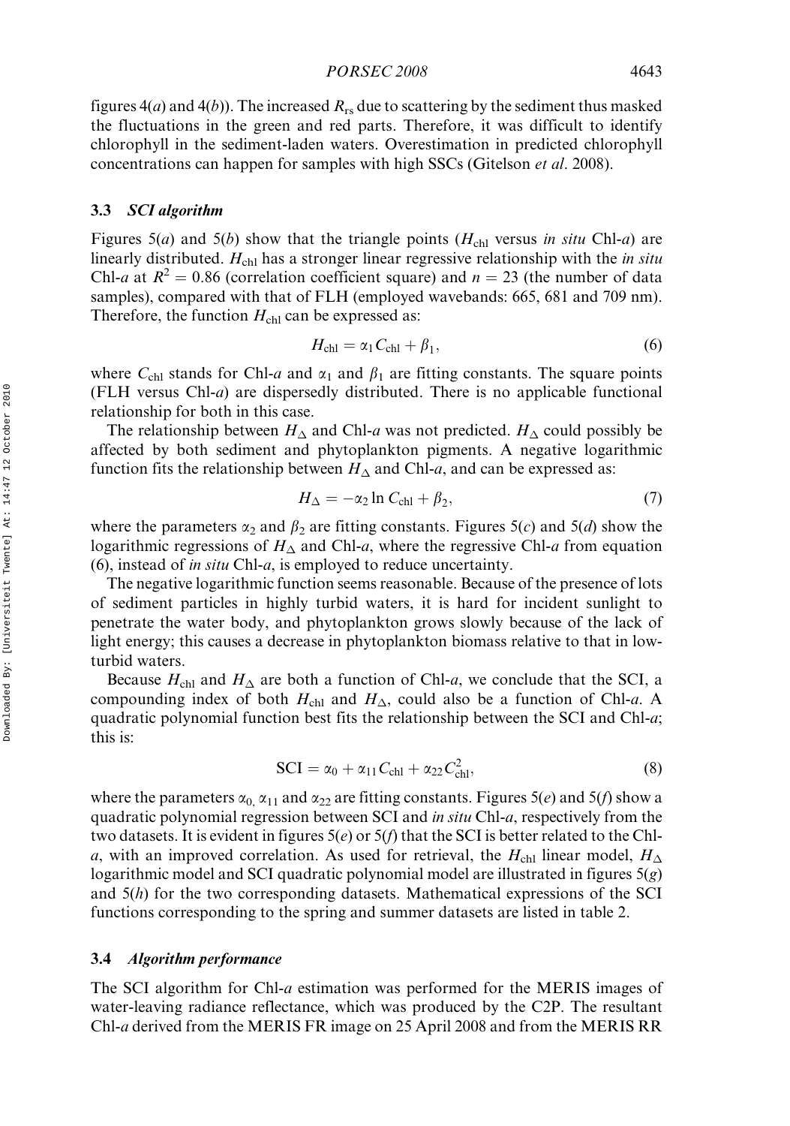figures  $4(a)$  and  $4(b)$ ). The increased  $R_{rs}$  due to scattering by the sediment thus masked the fluctuations in the green and red parts. Therefore, it was difficult to identify chlorophyll in the sediment-laden waters. Overestimation in predicted chlorophyll concentrations can happen for samples with high SSCs (Gitelson *et al.* 2008).

#### 3.3 SCI algorithm

Figures 5(*a*) and 5(*b*) show that the triangle points ( $H_{\text{chl}}$  versus *in situ* Chl-*a*) are linearly distributed.  $H_{\text{chl}}$  has a stronger linear regressive relationship with the in situ Chl-a at  $R^2 = 0.86$  (correlation coefficient square) and  $n = 23$  (the number of data samples), compared with that of FLH (employed wavebands: 665, 681 and 709 nm). Therefore, the function  $H_{\text{ch}}$  can be expressed as:

$$
H_{\rm chl} = \alpha_1 C_{\rm chl} + \beta_1, \tag{6}
$$

where  $C_{\text{ch1}}$  stands for Chl-a and  $\alpha_1$  and  $\beta_1$  are fitting constants. The square points (FLH versus Chl-a) are dispersedly distributed. There is no applicable functional relationship for both in this case.

The relationship between  $H_{\Delta}$  and Chl-a was not predicted.  $H_{\Delta}$  could possibly be affected by both sediment and phytoplankton pigments. A negative logarithmic function fits the relationship between  $H_{\Delta}$  and Chl-a, and can be expressed as:

$$
H_{\Delta} = -\alpha_2 \ln C_{\text{chl}} + \beta_2,\tag{7}
$$

where the parameters  $\alpha_2$  and  $\beta_2$  are fitting constants. Figures 5(c) and 5(d) show the logarithmic regressions of  $H_{\Delta}$  and Chl-a, where the regressive Chl-a from equation (6), instead of in situ Chl-a, is employed to reduce uncertainty.

The negative logarithmic function seems reasonable. Because of the presence of lots of sediment particles in highly turbid waters, it is hard for incident sunlight to penetrate the water body, and phytoplankton grows slowly because of the lack of light energy; this causes a decrease in phytoplankton biomass relative to that in lowturbid waters.

Because  $H_{\text{chl}}$  and  $H_{\Delta}$  are both a function of Chl-a, we conclude that the SCI, a compounding index of both  $H_{\text{chl}}$  and  $H_{\Delta}$ , could also be a function of Chl-*a*. A quadratic polynomial function best fits the relationship between the SCI and Chl-a; this is:

$$
SCI = \alpha_0 + \alpha_{11}C_{\text{ch1}} + \alpha_{22}C_{\text{ch1}}^2,
$$
\n(8)

where the parameters  $\alpha_0$ ,  $\alpha_{11}$  and  $\alpha_{22}$  are fitting constants. Figures 5(e) and 5(f) show a quadratic polynomial regression between SCI and in situ Chl-a, respectively from the two datasets. It is evident in figures  $5(e)$  or  $5(f)$  that the SCI is better related to the Chla, with an improved correlation. As used for retrieval, the  $H_{ch}$  linear model,  $H_{\Delta}$ logarithmic model and SCI quadratic polynomial model are illustrated in figures  $5(g)$ and 5(h) for the two corresponding datasets. Mathematical expressions of the SCI functions corresponding to the spring and summer datasets are listed in table 2.

# 3.4 Algorithm performance

The SCI algorithm for Chl-a estimation was performed for the MERIS images of water-leaving radiance reflectance, which was produced by the C2P. The resultant Chl-a derived from the MERIS FR image on 25 April 2008 and from the MERIS RR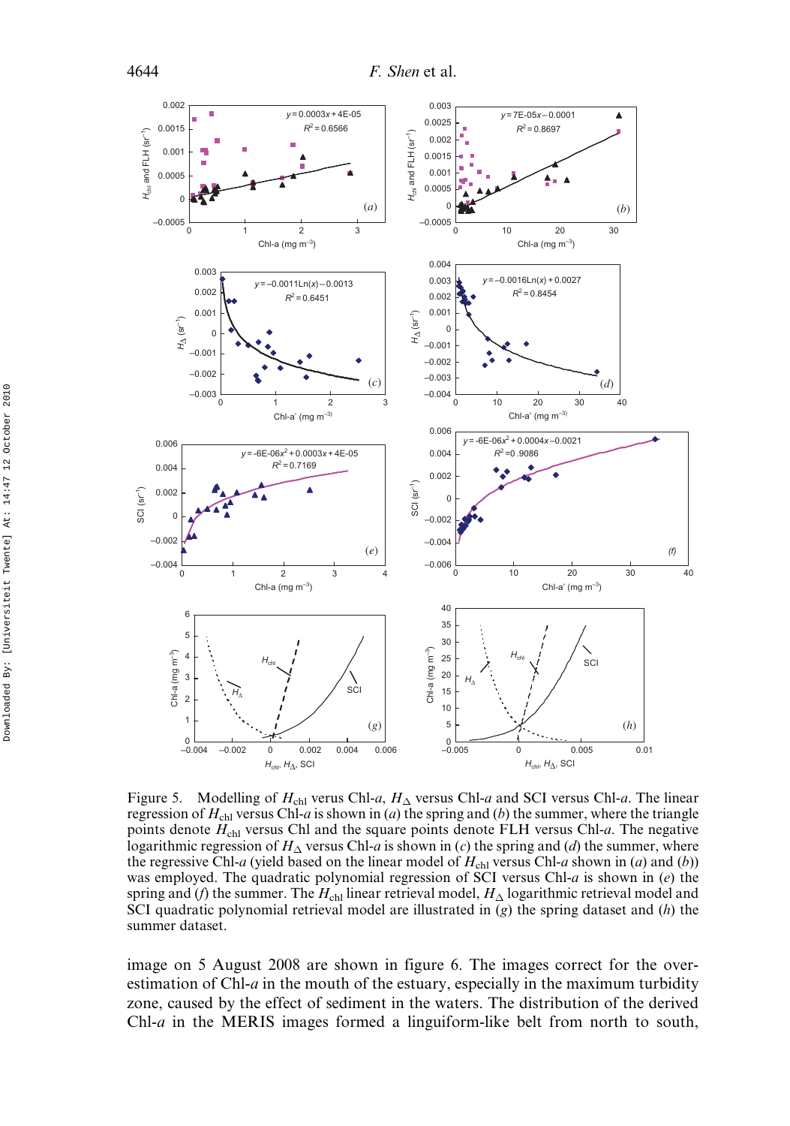

Figure 5. Modelling of  $H_{\text{chl}}$  verus Chl-a,  $H_{\Delta}$  versus Chl-a and SCI versus Chl-a. The linear regression of  $H_{\text{ch}}$  versus Chl-a is shown in (a) the spring and (b) the summer, where the triangle points denote  $H_{\text{ch}}$  versus Chl and the square points denote FLH versus Chl-a. The negative logarithmic regression of  $H_{\Delta}$  versus Chl-a is shown in (c) the spring and (d) the summer, where the regressive Chl-a (yield based on the linear model of  $H_{\text{ch}}$  versus Chl-a shown in (a) and (b)) was employed. The quadratic polynomial regression of SCI versus Chl- $a$  is shown in (e) the spring and (*f*) the summer. The  $H_{\rm chl}$  linear retrieval model,  $H_{\Delta}$  logarithmic retrieval model and SCI quadratic polynomial retrieval model are illustrated in  $(g)$  the spring dataset and  $(h)$  the summer dataset.

image on 5 August 2008 are shown in figure 6. The images correct for the overestimation of Chl- $a$  in the mouth of the estuary, especially in the maximum turbidity zone, caused by the effect of sediment in the waters. The distribution of the derived Chl-a in the MERIS images formed a linguiform-like belt from north to south,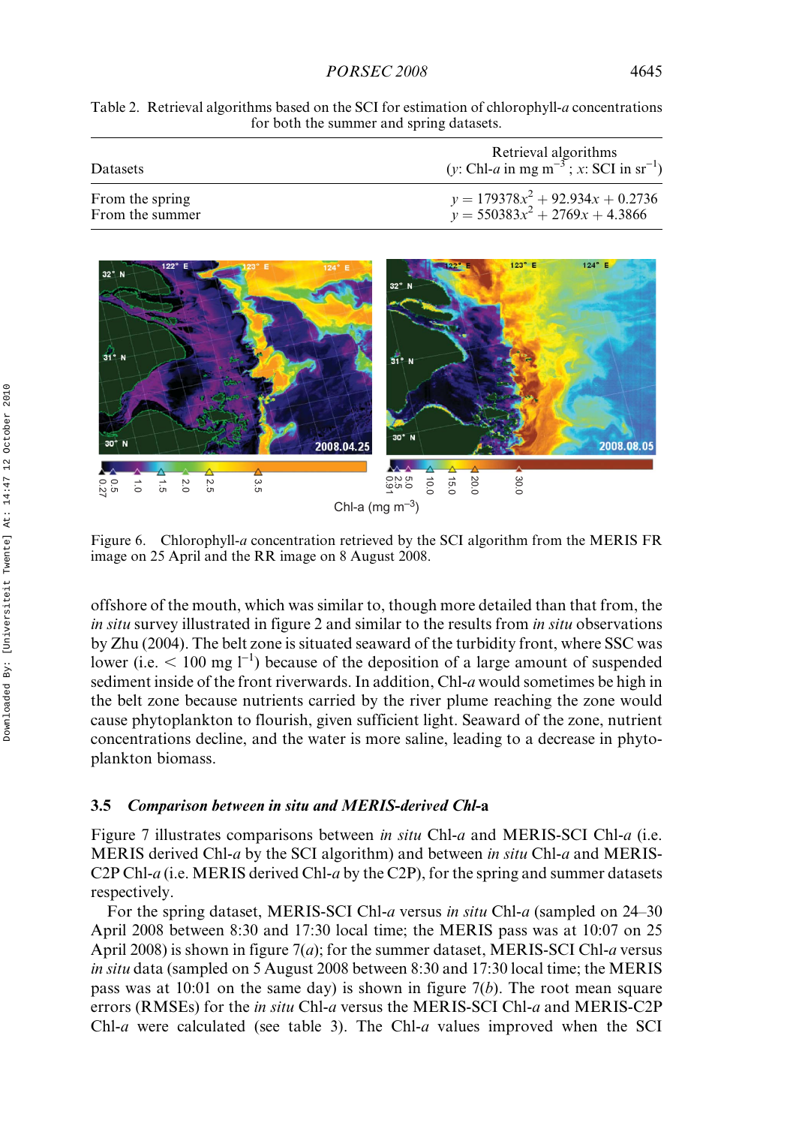| Table 2. Retrieval algorithms based on the SCI for estimation of chlorophyll-a concentrations |
|-----------------------------------------------------------------------------------------------|
| for both the summer and spring datasets.                                                      |

| Datasets        | Retrieval algorithms<br>(y: Chl- <i>a</i> in mg m <sup><math>-3</math></sup> ; x: SCI in sr <sup>-1</sup> ) |
|-----------------|-------------------------------------------------------------------------------------------------------------|
| From the spring | $y = 179378x^2 + 92.934x + 0.2736$                                                                          |
| From the summer | $y = 550383x^2 + 2769x + 4.3866$                                                                            |



Figure 6. Chlorophyll-a concentration retrieved by the SCI algorithm from the MERIS FR image on 25 April and the RR image on 8 August 2008.

offshore of the mouth, which was similar to, though more detailed than that from, the in situ survey illustrated in figure 2 and similar to the results from in situ observations by Zhu (2004). The belt zone is situated seaward of the turbidity front, where SSC was lower (i.e.  $\leq 100$  mg l<sup>-1</sup>) because of the deposition of a large amount of suspended sediment inside of the front riverwards. In addition, Chl- $a$  would sometimes be high in the belt zone because nutrients carried by the river plume reaching the zone would cause phytoplankton to flourish, given sufficient light. Seaward of the zone, nutrient concentrations decline, and the water is more saline, leading to a decrease in phytoplankton biomass.

#### 3.5 Comparison between in situ and MERIS-derived Chl-a

Figure 7 illustrates comparisons between *in situ* Chl-*a* and MERIS-SCI Chl-*a* (i.e. MERIS derived Chl-a by the SCI algorithm) and between in situ Chl-a and MERIS-C2P Chl-a (i.e. MERIS derived Chl-a by the C2P), for the spring and summer datasets respectively.

For the spring dataset, MERIS-SCI Chl-a versus in situ Chl-a (sampled on 24–30) April 2008 between 8:30 and 17:30 local time; the MERIS pass was at 10:07 on 25 April 2008) is shown in figure  $7(a)$ ; for the summer dataset, MERIS-SCI Chl-a versus in situ data (sampled on 5 August 2008 between 8:30 and 17:30 local time; the MERIS pass was at 10:01 on the same day) is shown in figure  $7(b)$ . The root mean square errors (RMSEs) for the *in situ* Chl-*a* versus the MERIS-SCI Chl-*a* and MERIS-C2P Chl-a were calculated (see table 3). The Chl-a values improved when the SCI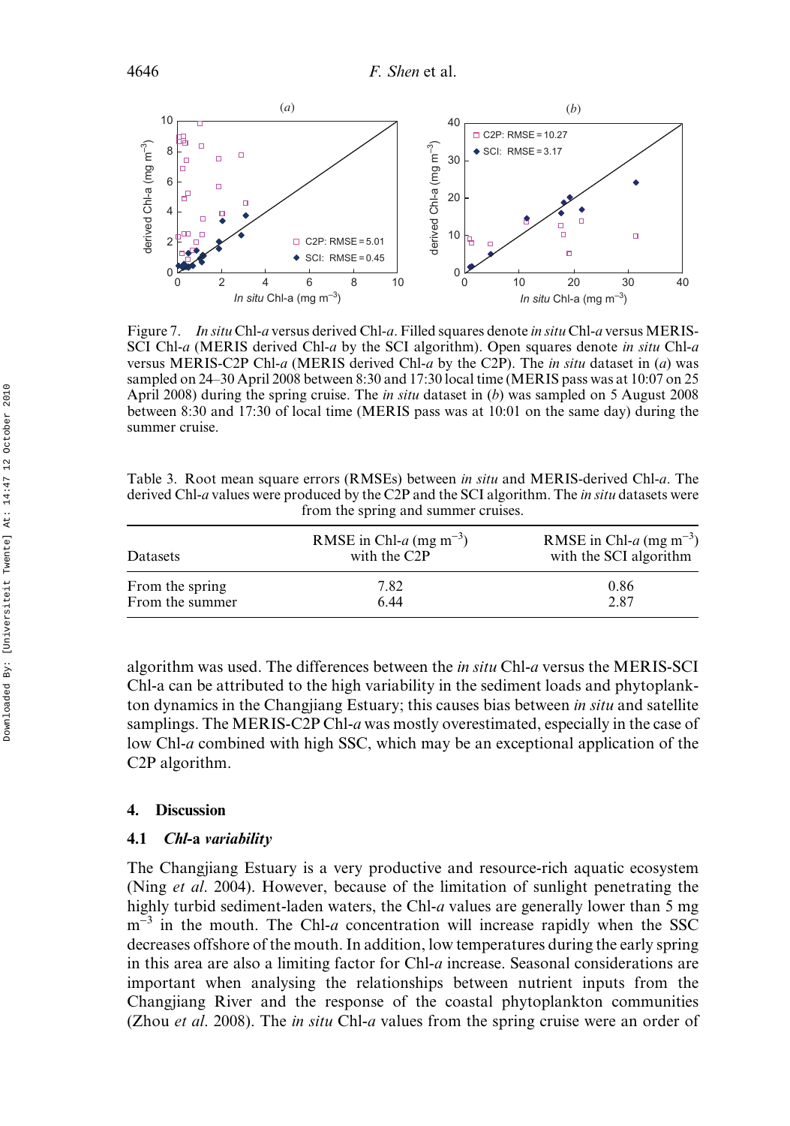

Figure 7. In situ Chl-a versus derived Chl-a. Filled squares denote in situ Chl-a versus MERIS-SCI Chl-a (MERIS derived Chl-a by the SCI algorithm). Open squares denote in situ Chl-a versus MERIS-C2P Chl-a (MERIS derived Chl-a by the C2P). The *in situ* dataset in (a) was sampled on 24–30 April 2008 between 8:30 and 17:30 local time (MERIS pass was at 10:07 on 25 April 2008) during the spring cruise. The *in situ* dataset in  $(b)$  was sampled on 5 August 2008 between 8:30 and 17:30 of local time (MERIS pass was at 10:01 on the same day) during the summer cruise.

Table 3. Root mean square errors (RMSEs) between in situ and MERIS-derived Chl-a. The derived Chl-a values were produced by the C2P and the SCI algorithm. The *in situ* datasets were from the spring and summer cruises.

| Datasets        | RMSE in Chl- $a$ (mg m <sup>-3</sup> )<br>with the C <sub>2</sub> P | RMSE in Chl- $a$ (mg m <sup>-3</sup> )<br>with the SCI algorithm |
|-----------------|---------------------------------------------------------------------|------------------------------------------------------------------|
| From the spring | 7.82                                                                | 0.86                                                             |
| From the summer | 6.44                                                                | 2.87                                                             |

algorithm was used. The differences between the in situ Chl-a versus the MERIS-SCI Chl-a can be attributed to the high variability in the sediment loads and phytoplankton dynamics in the Changjiang Estuary; this causes bias between *in situ* and satellite samplings. The MERIS-C2P Chl-a was mostly overestimated, especially in the case of low Chl-a combined with high SSC, which may be an exceptional application of the C2P algorithm.

# 4. Discussion

# 4.1 Chl-a variability

The Changjiang Estuary is a very productive and resource-rich aquatic ecosystem (Ning *et al.* 2004). However, because of the limitation of sunlight penetrating the highly turbid sediment-laden waters, the Chl-a values are generally lower than 5 mg  $m^{-3}$  in the mouth. The Chl-a concentration will increase rapidly when the SSC decreases offshore of the mouth. In addition, low temperatures during the early spring in this area are also a limiting factor for Chl-a increase. Seasonal considerations are important when analysing the relationships between nutrient inputs from the Changjiang River and the response of the coastal phytoplankton communities (Zhou *et al.* 2008). The *in situ* Chl-*a* values from the spring cruise were an order of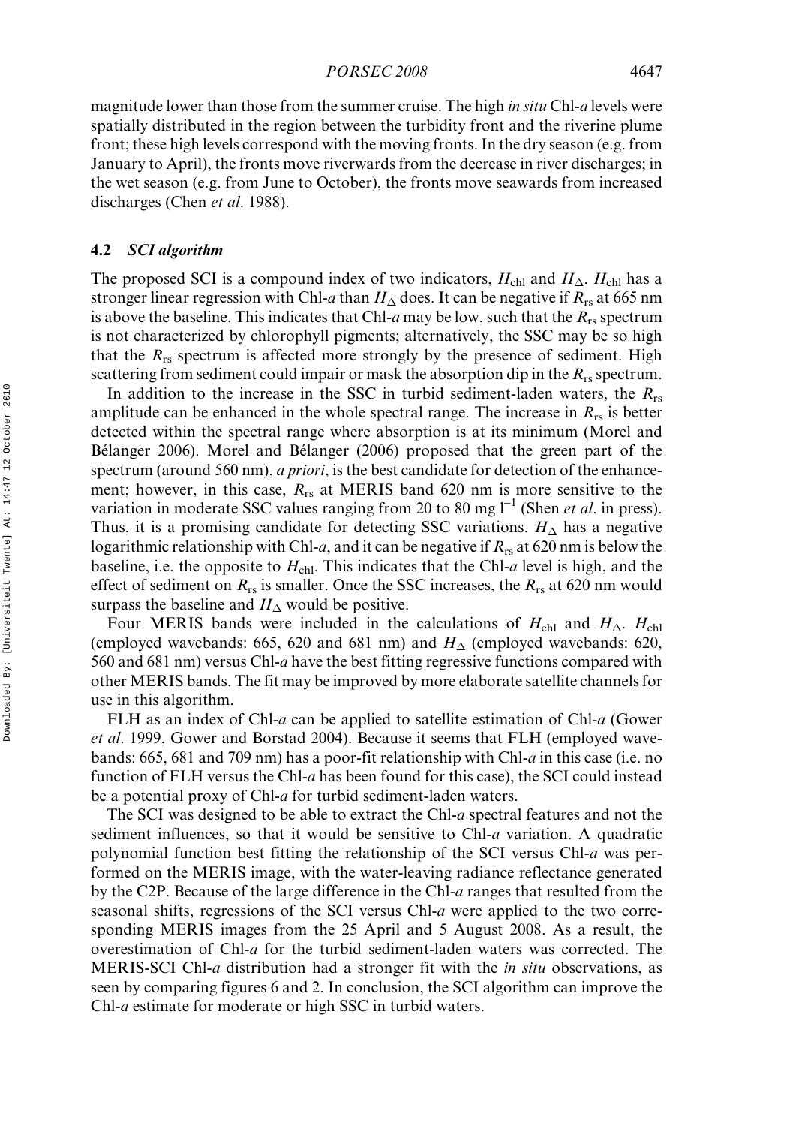magnitude lower than those from the summer cruise. The high *in situ* Chl-*a* levels were spatially distributed in the region between the turbidity front and the riverine plume front; these high levels correspond with the moving fronts. In the dry season (e.g. from January to April), the fronts move riverwards from the decrease in river discharges; in the wet season (e.g. from June to October), the fronts move seawards from increased discharges (Chen *et al.* 1988).

#### 4.2 SCI algorithm

The proposed SCI is a compound index of two indicators,  $H_{\text{chl}}$  and  $H_{\Delta}$ .  $H_{\text{chl}}$  has a stronger linear regression with Chl-*a* than  $H_\Delta$  does. It can be negative if  $R_{\rm rs}$  at 665 nm is above the baseline. This indicates that Chl-a may be low, such that the  $R_{rs}$  spectrum is not characterized by chlorophyll pigments; alternatively, the SSC may be so high that the  $R_{rs}$  spectrum is affected more strongly by the presence of sediment. High scattering from sediment could impair or mask the absorption dip in the  $R_{rs}$  spectrum.

In addition to the increase in the SSC in turbid sediment-laden waters, the  $R_{rs}$ amplitude can be enhanced in the whole spectral range. The increase in  $R_{rs}$  is better detected within the spectral range where absorption is at its minimum (Morel and Bélanger 2006). Morel and Bélanger (2006) proposed that the green part of the spectrum (around 560 nm), *a priori*, is the best candidate for detection of the enhancement; however, in this case,  $R_{rs}$  at MERIS band 620 nm is more sensitive to the variation in moderate SSC values ranging from 20 to 80 mg  $l^{-1}$  (Shen *et al.* in press). Thus, it is a promising candidate for detecting SSC variations.  $H_{\Delta}$  has a negative logarithmic relationship with Chl-a, and it can be negative if  $R_{rs}$  at 620 nm is below the baseline, i.e. the opposite to  $H_{\text{chl}}$ . This indicates that the Chl-a level is high, and the effect of sediment on  $R_{rs}$  is smaller. Once the SSC increases, the  $R_{rs}$  at 620 nm would surpass the baseline and  $H_{\Delta}$  would be positive.

Four MERIS bands were included in the calculations of  $H_{\text{chl}}$  and  $H_{\Delta}$ .  $H_{\text{chl}}$ (employed wavebands: 665, 620 and 681 nm) and  $H_{\Delta}$  (employed wavebands: 620, 560 and 681 nm) versus Chl-a have the best fitting regressive functions compared with other MERIS bands. The fit may be improved by more elaborate satellite channels for use in this algorithm.

FLH as an index of Chl-a can be applied to satellite estimation of Chl-a (Gower et al. 1999, Gower and Borstad 2004). Because it seems that FLH (employed wavebands: 665, 681 and 709 nm) has a poor-fit relationship with Chl-a in this case (i.e. no function of FLH versus the Chl-a has been found for this case), the SCI could instead be a potential proxy of Chl-a for turbid sediment-laden waters.

The SCI was designed to be able to extract the Chl-a spectral features and not the sediment influences, so that it would be sensitive to Chl- $a$  variation. A quadratic polynomial function best fitting the relationship of the SCI versus Chl- $a$  was performed on the MERIS image, with the water-leaving radiance reflectance generated by the C2P. Because of the large difference in the Chl-a ranges that resulted from the seasonal shifts, regressions of the SCI versus Chl-a were applied to the two corresponding MERIS images from the 25 April and 5 August 2008. As a result, the overestimation of Chl-a for the turbid sediment-laden waters was corrected. The MERIS-SCI Chl-a distribution had a stronger fit with the *in situ* observations, as seen by comparing figures 6 and 2. In conclusion, the SCI algorithm can improve the Chl-a estimate for moderate or high SSC in turbid waters.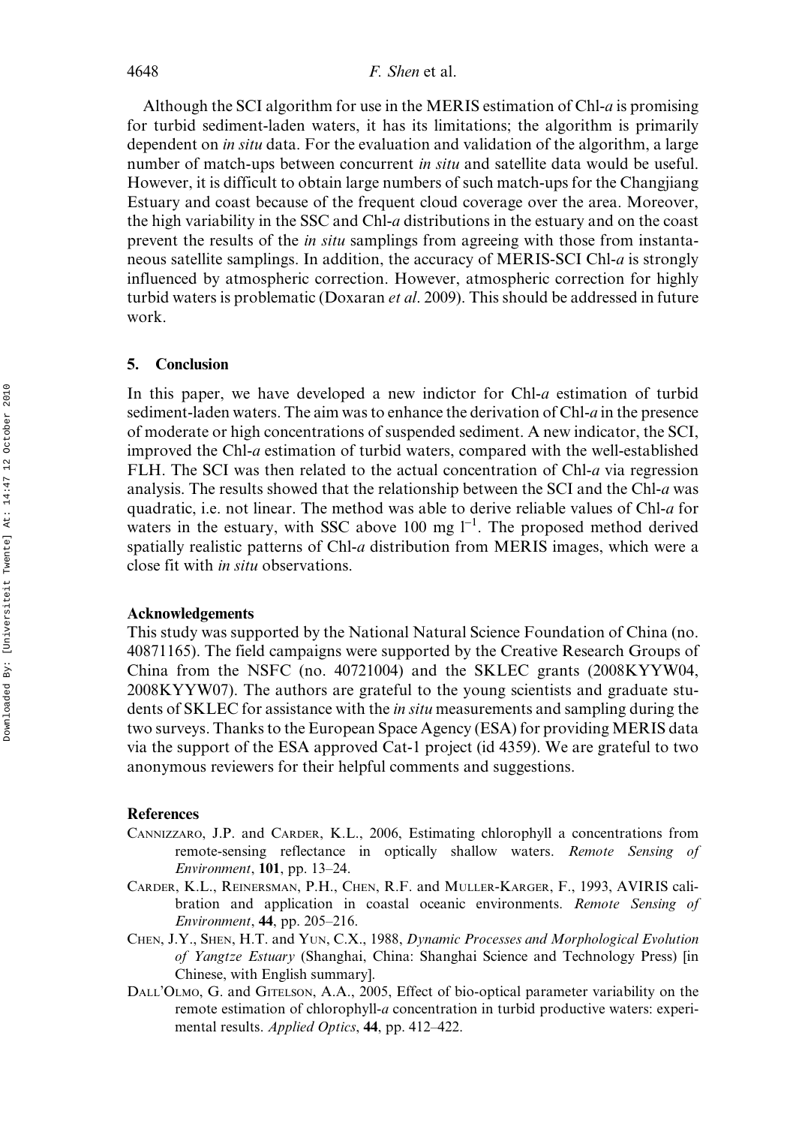Although the SCI algorithm for use in the MERIS estimation of Chl-a is promising for turbid sediment-laden waters, it has its limitations; the algorithm is primarily dependent on *in situ* data. For the evaluation and validation of the algorithm, a large number of match-ups between concurrent *in situ* and satellite data would be useful. However, it is difficult to obtain large numbers of such match-ups for the Changjiang Estuary and coast because of the frequent cloud coverage over the area. Moreover, the high variability in the SSC and Chl-a distributions in the estuary and on the coast prevent the results of the in situ samplings from agreeing with those from instantaneous satellite samplings. In addition, the accuracy of MERIS-SCI Chl-a is strongly influenced by atmospheric correction. However, atmospheric correction for highly turbid waters is problematic (Doxaran et al. 2009). This should be addressed in future work.

#### 5. Conclusion

In this paper, we have developed a new indictor for Chl-a estimation of turbid sediment-laden waters. The aim was to enhance the derivation of Chl- $a$  in the presence of moderate or high concentrations of suspended sediment. A new indicator, the SCI, improved the Chl-a estimation of turbid waters, compared with the well-established FLH. The SCI was then related to the actual concentration of Chl-a via regression analysis. The results showed that the relationship between the SCI and the Chl-a was quadratic, i.e. not linear. The method was able to derive reliable values of Chl-a for waters in the estuary, with SSC above 100 mg  $I^{-1}$ . The proposed method derived spatially realistic patterns of Chl-a distribution from MERIS images, which were a close fit with in situ observations.

# Acknowledgements

This study was supported by the National Natural Science Foundation of China (no. 40871165). The field campaigns were supported by the Creative Research Groups of China from the NSFC (no. 40721004) and the SKLEC grants (2008KYYW04, 2008KYYW07). The authors are grateful to the young scientists and graduate students of SKLEC for assistance with the *in situ* measurements and sampling during the two surveys. Thanks to the European Space Agency (ESA) for providing MERIS data via the support of the ESA approved Cat-1 project (id 4359). We are grateful to two anonymous reviewers for their helpful comments and suggestions.

#### References

- CANNIZZARO, J.P. and CARDER, K.L., 2006, Estimating chlorophyll a concentrations from remote-sensing reflectance in optically shallow waters. Remote Sensing of Environment, 101, pp. 13–24.
- CARDER, K.L., REINERSMAN, P.H., CHEN, R.F. and MULLER-KARGER, F., 1993, AVIRIS calibration and application in coastal oceanic environments. Remote Sensing of Environment, 44, pp. 205–216.
- CHEN, J.Y., SHEN, H.T. and YUN, C.X., 1988, Dynamic Processes and Morphological Evolution of Yangtze Estuary (Shanghai, China: Shanghai Science and Technology Press) [in Chinese, with English summary].
- DALL'OLMO, G. and GITELSON, A.A., 2005, Effect of bio-optical parameter variability on the remote estimation of chlorophyll-a concentration in turbid productive waters: experimental results. *Applied Optics*, **44**, pp. 412–422.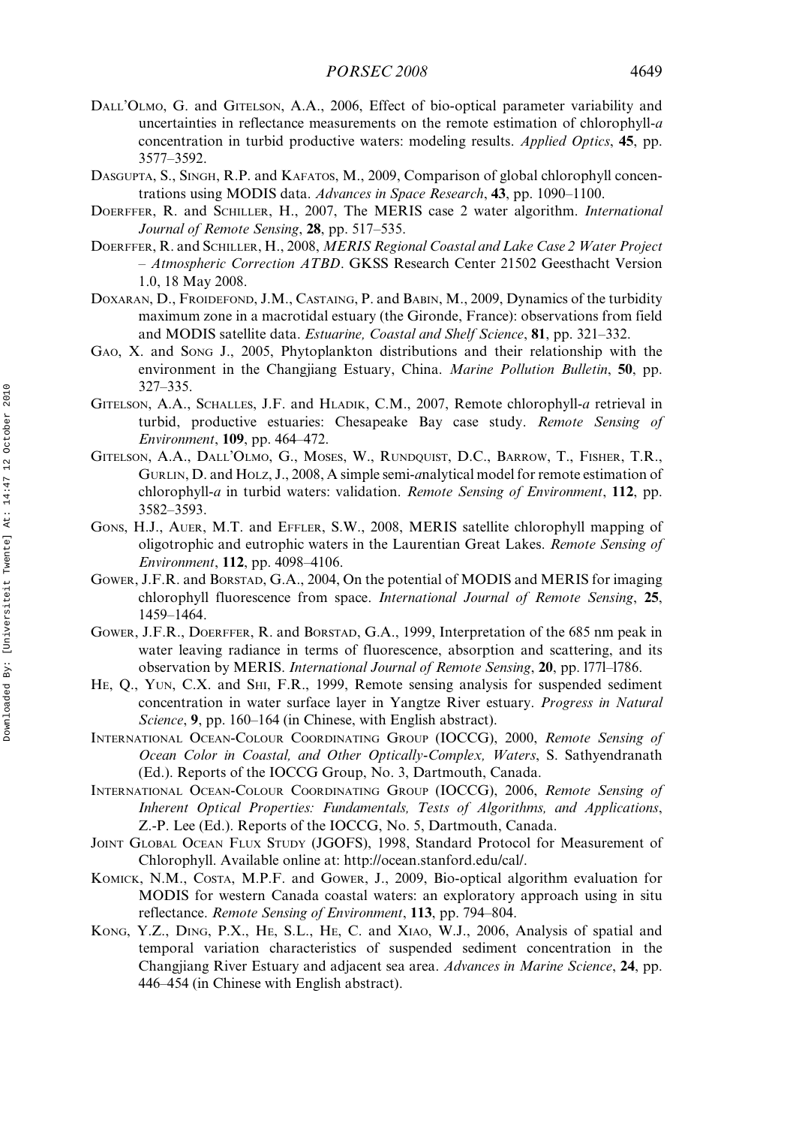- DALL'OLMO, G. and GITELSON, A.A., 2006, Effect of bio-optical parameter variability and uncertainties in reflectance measurements on the remote estimation of chlorophyll-a concentration in turbid productive waters: modeling results. Applied Optics, 45, pp. 3577–3592.
- DASGUPTA, S., SINGH, R.P. and KAFATOS, M., 2009, Comparison of global chlorophyll concentrations using MODIS data. Advances in Space Research, 43, pp. 1090–1100.
- DOERFFER, R. and SCHILLER, H., 2007, The MERIS case 2 water algorithm. International Journal of Remote Sensing, 28, pp. 517–535.
- DOERFFER, R. and SCHILLER, H., 2008, MERIS Regional Coastal and Lake Case 2 Water Project – Atmospheric Correction ATBD. GKSS Research Center 21502 Geesthacht Version 1.0, 18 May 2008.
- DOXARAN, D., FROIDEFOND, J.M., CASTAING, P. and BABIN, M., 2009, Dynamics of the turbidity maximum zone in a macrotidal estuary (the Gironde, France): observations from field and MODIS satellite data. Estuarine, Coastal and Shelf Science, 81, pp. 321–332.
- GAO, X. and SONG J., 2005, Phytoplankton distributions and their relationship with the environment in the Changjiang Estuary, China. Marine Pollution Bulletin, 50, pp. 327–335.
- GITELSON, A.A., SCHALLES, J.F. and HLADIK, C.M., 2007, Remote chlorophyll-a retrieval in turbid, productive estuaries: Chesapeake Bay case study. Remote Sensing of Environment, 109, pp. 464–472.
- GITELSON, A.A., DALL'OLMO, G., MOSES, W., RUNDQUIST, D.C., BARROW, T., FISHER, T.R., GURLIN, D. and HOLZ, J., 2008, A simple semi-analytical model for remote estimation of chlorophyll-a in turbid waters: validation. Remote Sensing of Environment, 112, pp. 3582–3593.
- GONS, H.J., AUER, M.T. and EFFLER, S.W., 2008, MERIS satellite chlorophyll mapping of oligotrophic and eutrophic waters in the Laurentian Great Lakes. Remote Sensing of Environment, 112, pp. 4098–4106.
- GOWER, J.F.R. and BORSTAD, G.A., 2004, On the potential of MODIS and MERIS for imaging chlorophyll fluorescence from space. International Journal of Remote Sensing, 25, 1459–1464.
- GOWER, J.F.R., DOERFFER, R. and BORSTAD, G.A., 1999, Interpretation of the 685 nm peak in water leaving radiance in terms of fluorescence, absorption and scattering, and its observation by MERIS. International Journal of Remote Sensing, 20, pp. 1771-1786.
- HE, Q., YUN, C.X. and SHI, F.R., 1999, Remote sensing analysis for suspended sediment concentration in water surface layer in Yangtze River estuary. Progress in Natural Science, 9, pp. 160–164 (in Chinese, with English abstract).
- INTERNATIONAL OCEAN-COLOUR COORDINATING GROUP (IOCCG), 2000, Remote Sensing of Ocean Color in Coastal, and Other Optically-Complex, Waters, S. Sathyendranath (Ed.). Reports of the IOCCG Group, No. 3, Dartmouth, Canada.
- INTERNATIONAL OCEAN-COLOUR COORDINATING GROUP (IOCCG), 2006, Remote Sensing of Inherent Optical Properties: Fundamentals, Tests of Algorithms, and Applications, Z.-P. Lee (Ed.). Reports of the IOCCG, No. 5, Dartmouth, Canada.
- JOINT GLOBAL OCEAN FLUX STUDY (JGOFS), 1998, Standard Protocol for Measurement of Chlorophyll. Available online at: http://ocean.stanford.edu/cal/.
- KOMICK, N.M., COSTA, M.P.F. and GOWER, J., 2009, Bio-optical algorithm evaluation for MODIS for western Canada coastal waters: an exploratory approach using in situ reflectance. Remote Sensing of Environment, 113, pp. 794–804.
- KONG, Y.Z., DING, P.X., HE, S.L., HE, C. and XIAO, W.J., 2006, Analysis of spatial and temporal variation characteristics of suspended sediment concentration in the Changjiang River Estuary and adjacent sea area. Advances in Marine Science, 24, pp. 446–454 (in Chinese with English abstract).